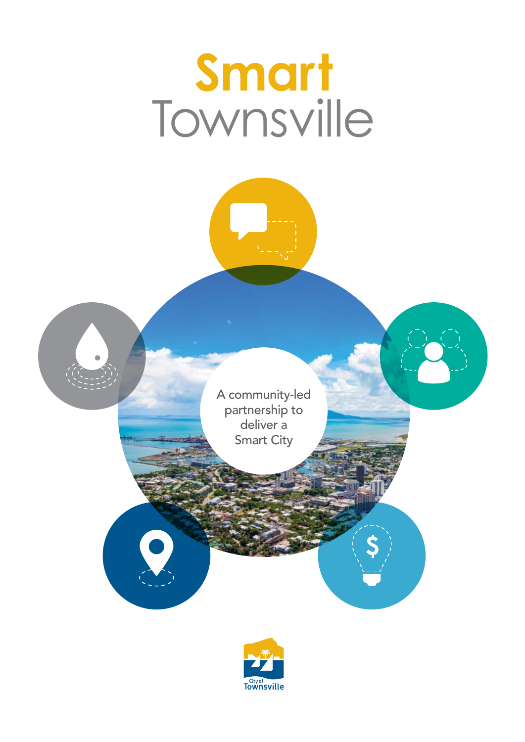## **Smart** Townsville

A community-led partnership to deliver a Smart City

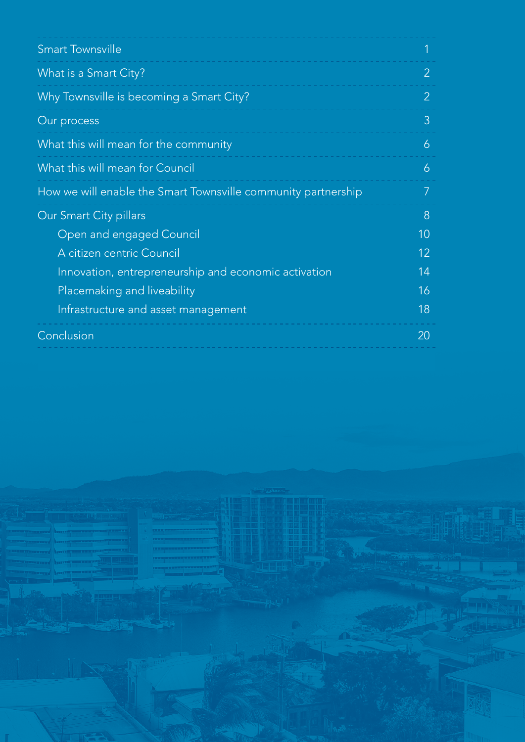| <b>Smart Townsville</b>                                       |                |  |
|---------------------------------------------------------------|----------------|--|
| What is a Smart City?                                         | $\overline{2}$ |  |
| Why Townsville is becoming a Smart City?                      | $\overline{2}$ |  |
| Our process                                                   | 3              |  |
| What this will mean for the community                         | 6              |  |
| What this will mean for Council                               | 6              |  |
| How we will enable the Smart Townsville community partnership | 7              |  |
| Our Smart City pillars                                        |                |  |
| Open and engaged Council                                      | 10             |  |
| A citizen centric Council                                     | 12             |  |
| Innovation, entrepreneurship and economic activation          | 14             |  |
| Placemaking and liveability                                   | 16             |  |
| Infrastructure and asset management                           | 18             |  |
| Conclusion                                                    | 20             |  |
|                                                               |                |  |

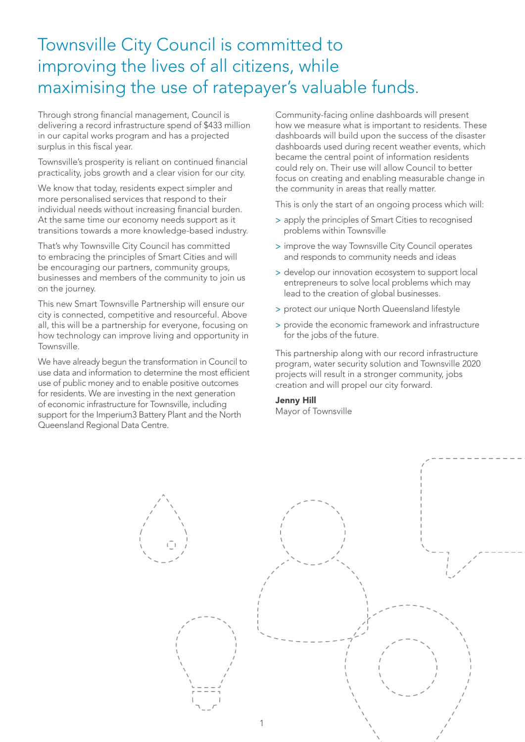#### Townsville City Council is committed to improving the lives of all citizens, while maximising the use of ratepayer's valuable funds.

Through strong financial management, Council is delivering a record infrastructure spend of \$433 million in our capital works program and has a projected surplus in this fiscal year.

Townsville's prosperity is reliant on continued financial practicality, jobs growth and a clear vision for our city.

We know that today, residents expect simpler and more personalised services that respond to their individual needs without increasing financial burden. At the same time our economy needs support as it transitions towards a more knowledge-based industry.

That's why Townsville City Council has committed to embracing the principles of Smart Cities and will be encouraging our partners, community groups, businesses and members of the community to join us on the journey.

This new Smart Townsville Partnership will ensure our city is connected, competitive and resourceful. Above all, this will be a partnership for everyone, focusing on how technology can improve living and opportunity in Townsville.

We have already begun the transformation in Council to use data and information to determine the most efficient use of public money and to enable positive outcomes for residents. We are investing in the next generation of economic infrastructure for Townsville, including support for the Imperium3 Battery Plant and the North Queensland Regional Data Centre.

Community-facing online dashboards will present how we measure what is important to residents. These dashboards will build upon the success of the disaster dashboards used during recent weather events, which became the central point of information residents could rely on. Their use will allow Council to better focus on creating and enabling measurable change in the community in areas that really matter.

This is only the start of an ongoing process which will:

- > apply the principles of Smart Cities to recognised problems within Townsville
- > improve the way Townsville City Council operates and responds to community needs and ideas
- > develop our innovation ecosystem to support local entrepreneurs to solve local problems which may lead to the creation of global businesses.
- > protect our unique North Queensland lifestyle
- > provide the economic framework and infrastructure for the jobs of the future.

This partnership along with our record infrastructure program, water security solution and Townsville 2020 projects will result in a stronger community, jobs creation and will propel our city forward.

#### Jenny Hill

Mayor of Townsville

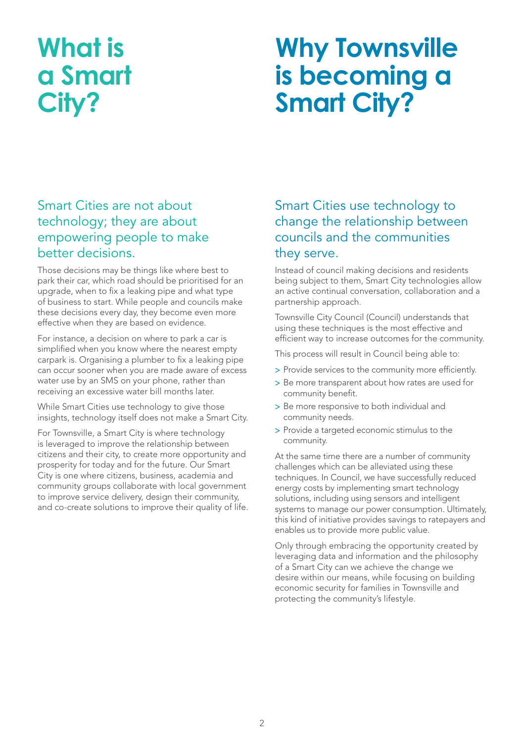### **What is a Smart City?**

### **Why Townsville is becoming a Smart City?**

#### Smart Cities are not about technology; they are about empowering people to make better decisions.

Those decisions may be things like where best to park their car, which road should be prioritised for an upgrade, when to fix a leaking pipe and what type of business to start. While people and councils make these decisions every day, they become even more effective when they are based on evidence.

For instance, a decision on where to park a car is simplified when you know where the nearest empty carpark is. Organising a plumber to fix a leaking pipe can occur sooner when you are made aware of excess water use by an SMS on your phone, rather than receiving an excessive water bill months later.

While Smart Cities use technology to give those insights, technology itself does not make a Smart City.

For Townsville, a Smart City is where technology is leveraged to improve the relationship between citizens and their city, to create more opportunity and prosperity for today and for the future. Our Smart City is one where citizens, business, academia and community groups collaborate with local government to improve service delivery, design their community, and co-create solutions to improve their quality of life.

#### Smart Cities use technology to change the relationship between councils and the communities they serve.

Instead of council making decisions and residents being subject to them, Smart City technologies allow an active continual conversation, collaboration and a partnership approach.

Townsville City Council (Council) understands that using these techniques is the most effective and efficient way to increase outcomes for the community.

This process will result in Council being able to:

- > Provide services to the community more efficiently.
- > Be more transparent about how rates are used for community benefit.
- > Be more responsive to both individual and community needs.
- > Provide a targeted economic stimulus to the community.

At the same time there are a number of community challenges which can be alleviated using these techniques. In Council, we have successfully reduced energy costs by implementing smart technology solutions, including using sensors and intelligent systems to manage our power consumption. Ultimately, this kind of initiative provides savings to ratepayers and enables us to provide more public value.

Only through embracing the opportunity created by leveraging data and information and the philosophy of a Smart City can we achieve the change we desire within our means, while focusing on building economic security for families in Townsville and protecting the community's lifestyle.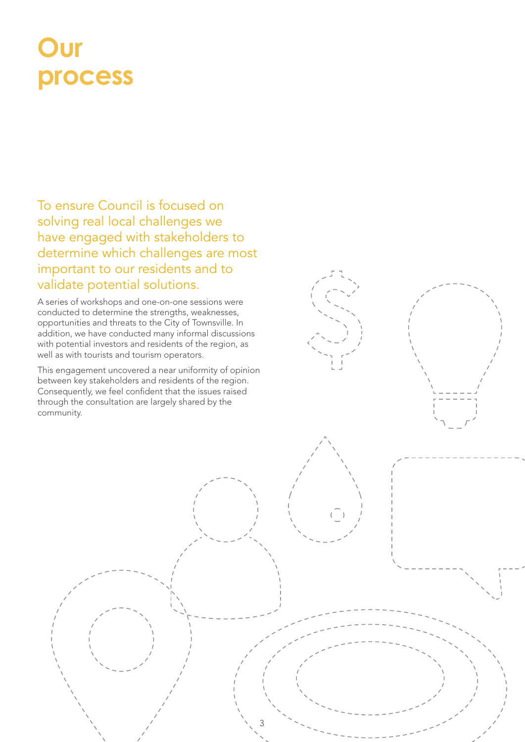### **Our process**

To ensure Council is focused on solving real local challenges we have engaged with stakeholders to determine which challenges are most important to our residents and to validate potential solutions.

A series of workshops and one-on-one sessions were conducted to determine the strengths, weaknesses, opportunities and threats to the City of Townsville. In addition, we have conducted many informal discussions with potential investors and residents of the region, as well as with tourists and tourism operators.

This engagement uncovered a near uniformity of opinion between key stakeholders and residents of the region. Consequently, we feel confident that the issues raised through the consultation are largely shared by the community.

3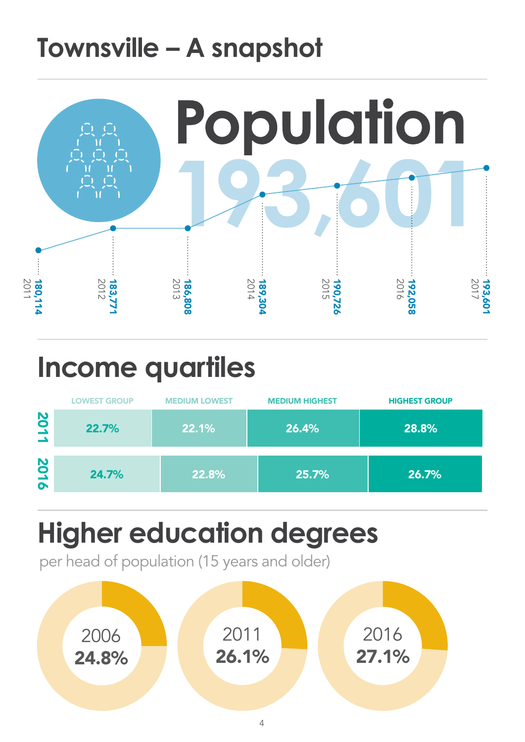### **Townsville – A snapshot**



### **Income quartiles**

|                                 | <b>LOWEST GROUP</b> | <b>MEDIUM LOWEST</b> | <b>MEDIUM HIGHEST</b> | <b>HIGHEST GROUP</b> |
|---------------------------------|---------------------|----------------------|-----------------------|----------------------|
| 201<br>$\overline{\phantom{a}}$ | 22.7%               | 22.1%                | 26.4%                 | 28.8%                |
| 2016                            | 24.7%               | 22.8%                | 25.7%                 | 26.7%                |

### **Higher education degrees**

per head of population (15 years and older)

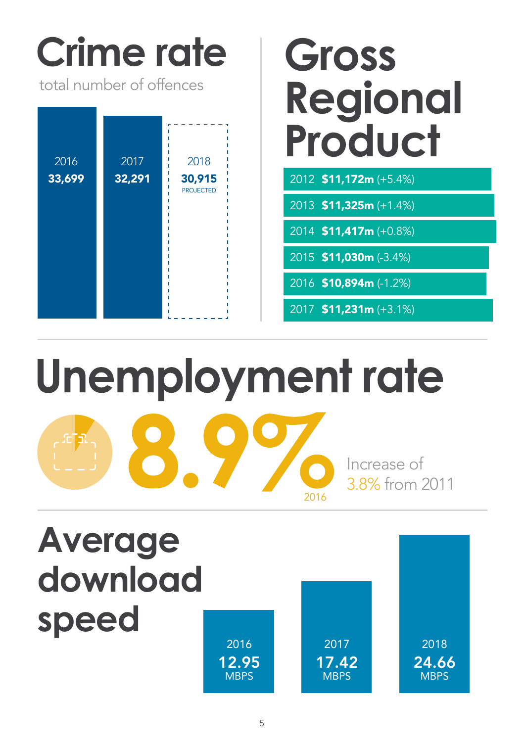# **Crime rate Gross**

total number of offences

| 2016   | 2017   | 2018             |
|--------|--------|------------------|
| 33,699 | 32,291 | 30,915           |
|        |        | <b>PROJECTED</b> |
|        |        |                  |
|        |        |                  |
|        |        |                  |
|        |        |                  |
|        |        |                  |
|        |        |                  |
|        |        |                  |
|        |        |                  |
|        |        |                  |
|        |        |                  |

# **Regional Product**

2012 \$11,172m (+5.4%)

2013 \$11,325m (+1.4%)

2014 \$11,417m (+0.8%)

2015 \$11,030m (-3.4%)

2016 \$10,894m (-1.2%)

2017 \$11,231m (+3.1%)

Unemployment rate **C** Increase of 3.8% from 2011 2016

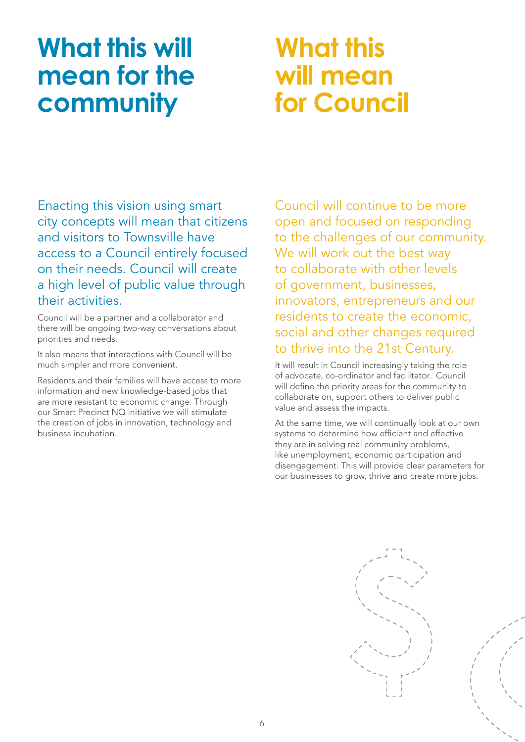### **What this will mean for the community**

### **What this will mean for Council**

Enacting this vision using smart city concepts will mean that citizens and visitors to Townsville have access to a Council entirely focused on their needs. Council will create a high level of public value through their activities.

Council will be a partner and a collaborator and there will be ongoing two-way conversations about priorities and needs.

It also means that interactions with Council will be much simpler and more convenient.

Residents and their families will have access to more information and new knowledge-based jobs that are more resistant to economic change. Through our Smart Precinct NQ initiative we will stimulate the creation of jobs in innovation, technology and business incubation.

Council will continue to be more open and focused on responding to the challenges of our community. We will work out the best way to collaborate with other levels of government, businesses, innovators, entrepreneurs and our residents to create the economic, social and other changes required to thrive into the 21st Century.

It will result in Council increasingly taking the role of advocate, co-ordinator and facilitator. Council will define the priority areas for the community to collaborate on, support others to deliver public value and assess the impacts.

At the same time, we will continually look at our own systems to determine how efficient and effective they are in solving real community problems, like unemployment, economic participation and disengagement. This will provide clear parameters for our businesses to grow, thrive and create more jobs.

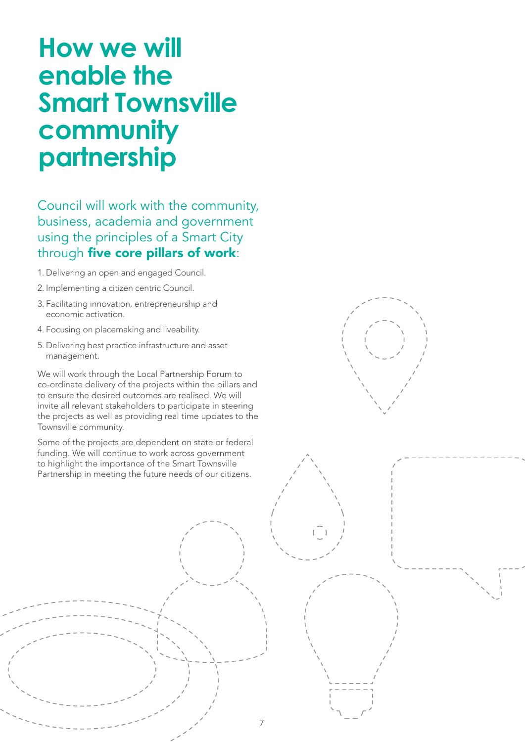### **How we will enable the Smart Townsville community partnership**

Council will work with the community, business, academia and government using the principles of a Smart City through five core pillars of work:

- 1. Delivering an open and engaged Council.
- 2. Implementing a citizen centric Council.
- 3. Facilitating innovation, entrepreneurship and economic activation.
- 4. Focusing on placemaking and liveability.
- 5. Delivering best practice infrastructure and asset management.

We will work through the Local Partnership Forum to co-ordinate delivery of the projects within the pillars and to ensure the desired outcomes are realised. We will invite all relevant stakeholders to participate in steering the projects as well as providing real time updates to the Townsville community.

Some of the projects are dependent on state or federal funding. We will continue to work across government to highlight the importance of the Smart Townsville Partnership in meeting the future needs of our citizens.

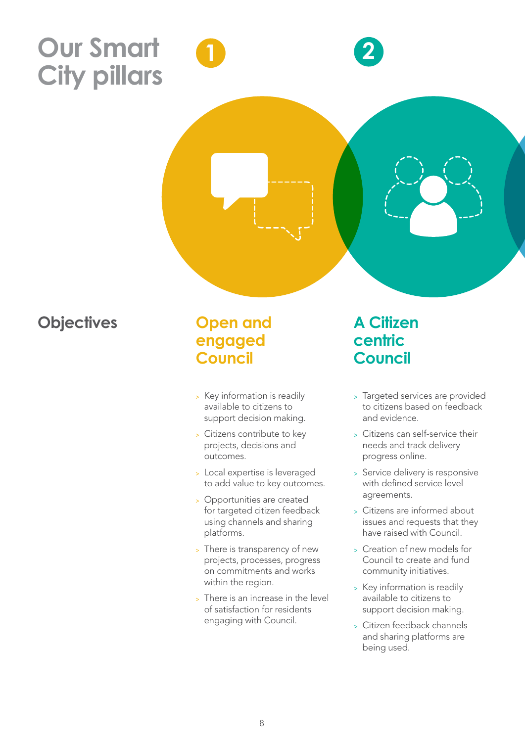### **Our Smart City pillars**

**1 2**

#### **Objectives**

#### **Open and engaged Council**

- <sup>&</sup>gt; Key information is readily available to citizens to support decision making.
- <sup>&</sup>gt; Citizens contribute to key projects, decisions and outcomes.
- <sup>&</sup>gt; Local expertise is leveraged to add value to key outcomes.
- <sup>&</sup>gt; Opportunities are created for targeted citizen feedback using channels and sharing platforms.
- <sup>&</sup>gt; There is transparency of new projects, processes, progress on commitments and works within the region.
- <sup>&</sup>gt; There is an increase in the level of satisfaction for residents engaging with Council.

#### **A Citizen centric Council**

- <sup>&</sup>gt; Targeted services are provided to citizens based on feedback and evidence.
- <sup>&</sup>gt; Citizens can self-service their needs and track delivery progress online.
- <sup>&</sup>gt; Service delivery is responsive with defined service level agreements.
- <sup>&</sup>gt; Citizens are informed about issues and requests that they have raised with Council.
- <sup>&</sup>gt; Creation of new models for Council to create and fund community initiatives.
- <sup>&</sup>gt; Key information is readily available to citizens to support decision making.
- <sup>&</sup>gt; Citizen feedback channels and sharing platforms are being used.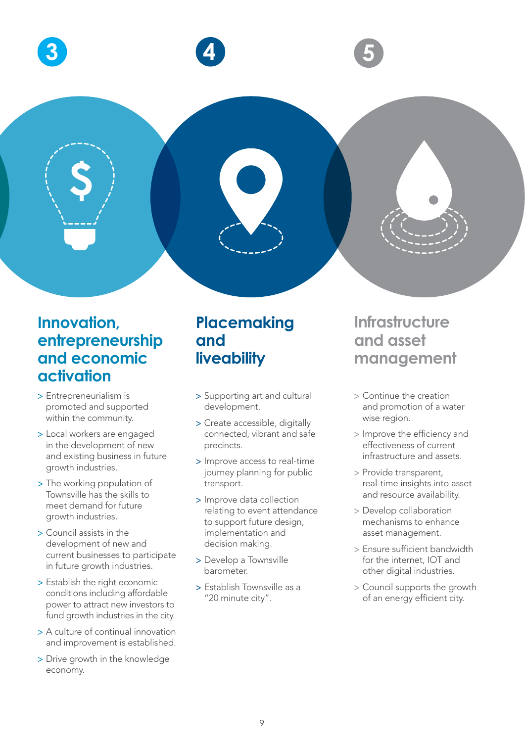

#### **Innovation, entrepreneurship and economic activation**

- > Entrepreneurialism is promoted and supported within the community.
- > Local workers are engaged in the development of new and existing business in future growth industries.
- > The working population of Townsville has the skills to meet demand for future growth industries.
- > Council assists in the development of new and current businesses to participate in future growth industries.
- > Establish the right economic conditions including affordable power to attract new investors to fund growth industries in the city.
- > A culture of continual innovation and improvement is established.
- > Drive growth in the knowledge economy.

#### **Placemaking and liveability**

- > Supporting art and cultural development.
- > Create accessible, digitally connected, vibrant and safe precincts.
- > Improve access to real-time journey planning for public transport.
- > Improve data collection relating to event attendance to support future design, implementation and decision making.
- > Develop a Townsville barometer.
- > Establish Townsville as a "20 minute city".

#### **Infrastructure and asset management**

- > Continue the creation and promotion of a water wise region.
- > Improve the efficiency and effectiveness of current infrastructure and assets.
- > Provide transparent, real-time insights into asset and resource availability.
- > Develop collaboration mechanisms to enhance asset management.
- > Ensure sufficient bandwidth for the internet, IOT and other digital industries.
- > Council supports the growth of an energy efficient city.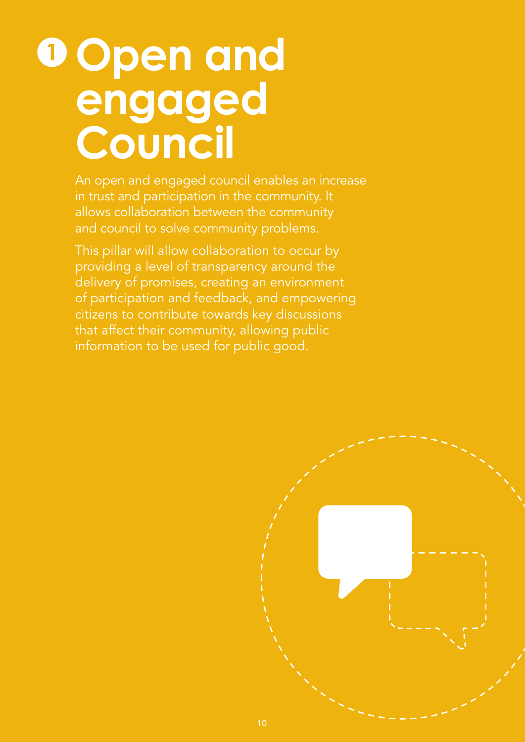### **Open and engaged Council 1**

An open and engaged council enables an increase in trust and participation in the community. It allows collaboration between the community and council to solve community problems.

This pillar will allow collaboration to occur by providing a level of transparency around the delivery of promises, creating an environment of participation and feedback, and empowering citizens to contribute towards key discussions that affect their community, allowing public information to be used for public good.

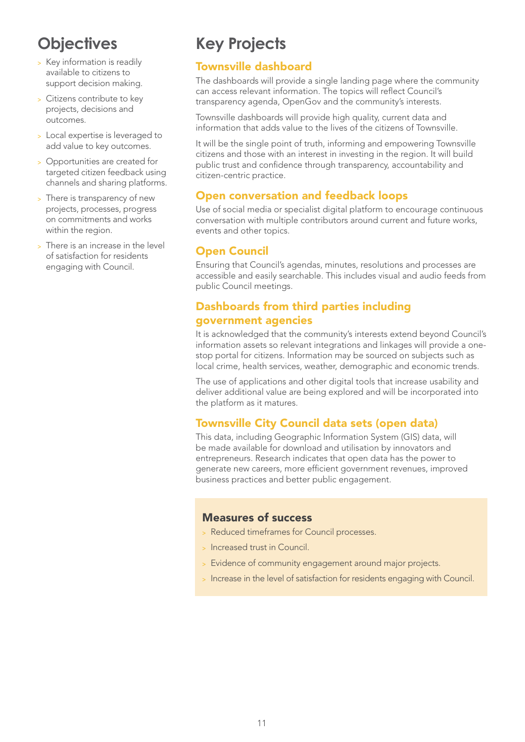- <sup>&</sup>gt; Key information is readily available to citizens to support decision making.
- <sup>&</sup>gt; Citizens contribute to key projects, decisions and outcomes.
- <sup>&</sup>gt; Local expertise is leveraged to add value to key outcomes.
- <sup>&</sup>gt; Opportunities are created for targeted citizen feedback using channels and sharing platforms.
- > There is transparency of new projects, processes, progress on commitments and works within the region.
- > There is an increase in the level of satisfaction for residents engaging with Council.

#### **Key Projects**

#### Townsville dashboard

The dashboards will provide a single landing page where the community can access relevant information. The topics will reflect Council's transparency agenda, OpenGov and the community's interests.

Townsville dashboards will provide high quality, current data and information that adds value to the lives of the citizens of Townsville.

It will be the single point of truth, informing and empowering Townsville citizens and those with an interest in investing in the region. It will build public trust and confidence through transparency, accountability and citizen-centric practice.

#### Open conversation and feedback loops

Use of social media or specialist digital platform to encourage continuous conversation with multiple contributors around current and future works, events and other topics.

#### Open Council

Ensuring that Council's agendas, minutes, resolutions and processes are accessible and easily searchable. This includes visual and audio feeds from public Council meetings.

#### Dashboards from third parties including government agencies

It is acknowledged that the community's interests extend beyond Council's information assets so relevant integrations and linkages will provide a onestop portal for citizens. Information may be sourced on subjects such as local crime, health services, weather, demographic and economic trends.

The use of applications and other digital tools that increase usability and deliver additional value are being explored and will be incorporated into the platform as it matures.

#### Townsville City Council data sets (open data)

This data, including Geographic Information System (GIS) data, will be made available for download and utilisation by innovators and entrepreneurs. Research indicates that open data has the power to generate new careers, more efficient government revenues, improved business practices and better public engagement.

- <sup>&</sup>gt; Reduced timeframes for Council processes.
- <sup>&</sup>gt; Increased trust in Council.
- <sup>&</sup>gt; Evidence of community engagement around major projects.
- <sup>&</sup>gt; Increase in the level of satisfaction for residents engaging with Council.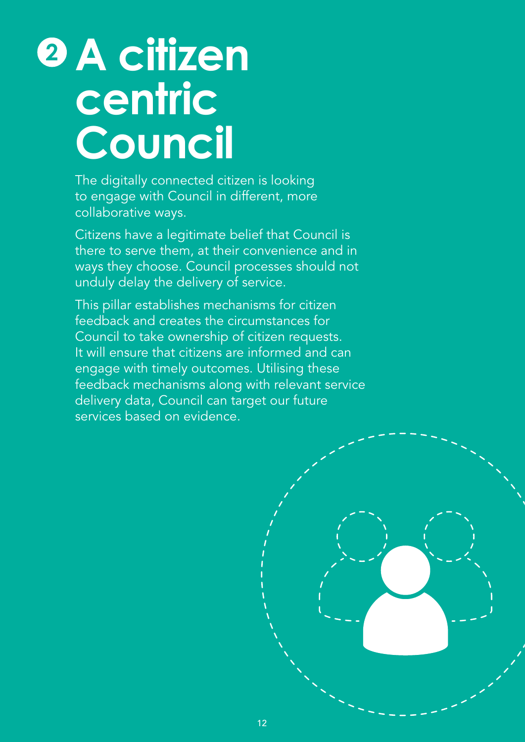### **A citizen centric Council 2**

The digitally connected citizen is looking to engage with Council in different, more collaborative ways.

Citizens have a legitimate belief that Council is there to serve them, at their convenience and in ways they choose. Council processes should not unduly delay the delivery of service.

This pillar establishes mechanisms for citizen feedback and creates the circumstances for Council to take ownership of citizen requests. It will ensure that citizens are informed and can engage with timely outcomes. Utilising these feedback mechanisms along with relevant service delivery data, Council can target our future services based on evidence.

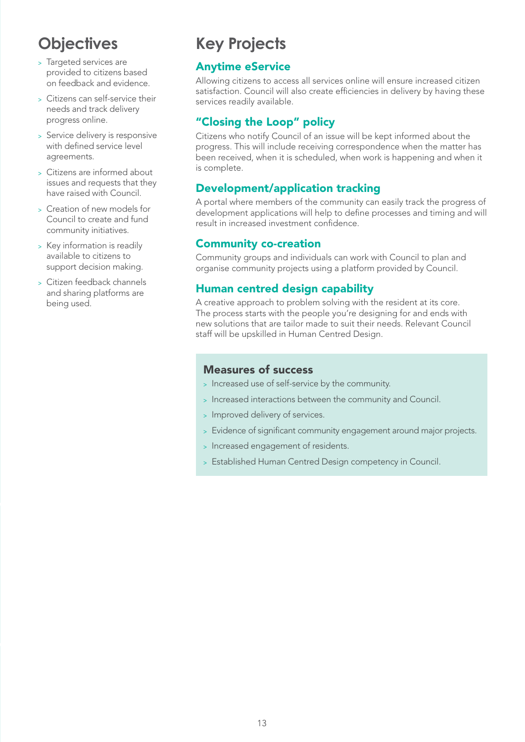- > Targeted services are provided to citizens based on feedback and evidence.
- <sup>&</sup>gt; Citizens can self-service their needs and track delivery progress online.
- <sup>&</sup>gt; Service delivery is responsive with defined service level agreements.
- <sup>&</sup>gt; Citizens are informed about issues and requests that they have raised with Council.
- <sup>&</sup>gt; Creation of new models for Council to create and fund community initiatives.
- <sup>&</sup>gt; Key information is readily available to citizens to support decision making.
- <sup>&</sup>gt; Citizen feedback channels and sharing platforms are being used.

#### **Key Projects**

#### Anytime eService

Allowing citizens to access all services online will ensure increased citizen satisfaction. Council will also create efficiencies in delivery by having these services readily available.

#### "Closing the Loop" policy

Citizens who notify Council of an issue will be kept informed about the progress. This will include receiving correspondence when the matter has been received, when it is scheduled, when work is happening and when it is complete.

#### Development/application tracking

A portal where members of the community can easily track the progress of development applications will help to define processes and timing and will result in increased investment confidence.

#### Community co-creation

Community groups and individuals can work with Council to plan and organise community projects using a platform provided by Council.

#### Human centred design capability

A creative approach to problem solving with the resident at its core. The process starts with the people you're designing for and ends with new solutions that are tailor made to suit their needs. Relevant Council staff will be upskilled in Human Centred Design.

- <sup>&</sup>gt; Increased use of self-service by the community.
- <sup>&</sup>gt; Increased interactions between the community and Council.
- <sup>&</sup>gt; Improved delivery of services.
- <sup>&</sup>gt; Evidence of significant community engagement around major projects.
- <sup>&</sup>gt; Increased engagement of residents.
- <sup>&</sup>gt; Established Human Centred Design competency in Council.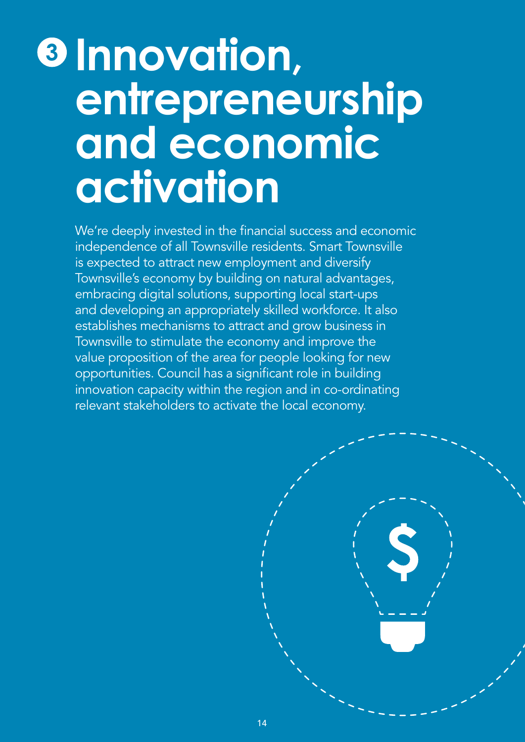### **Innovation, entrepreneurship and economic activation 3**

We're deeply invested in the financial success and economic independence of all Townsville residents. Smart Townsville is expected to attract new employment and diversify Townsville's economy by building on natural advantages, embracing digital solutions, supporting local start-ups and developing an appropriately skilled workforce. It also establishes mechanisms to attract and grow business in Townsville to stimulate the economy and improve the value proposition of the area for people looking for new opportunities. Council has a significant role in building innovation capacity within the region and in co-ordinating relevant stakeholders to activate the local economy.

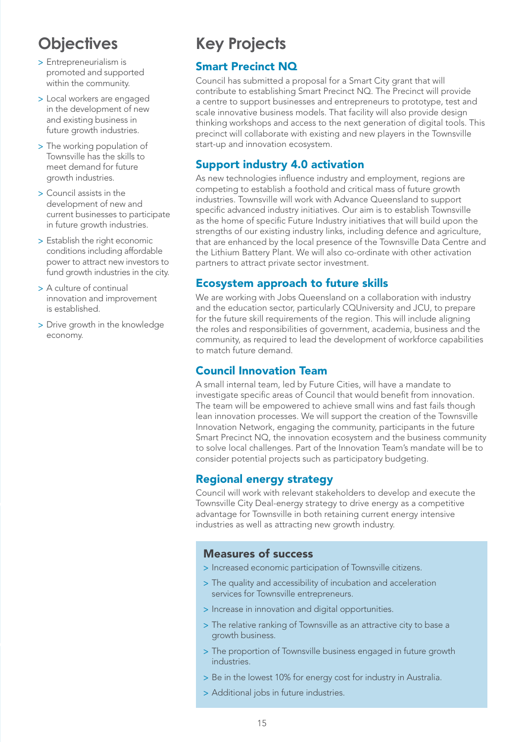- > Entrepreneurialism is promoted and supported within the community.
- > Local workers are engaged in the development of new and existing business in future growth industries.
- > The working population of Townsville has the skills to meet demand for future growth industries.
- > Council assists in the development of new and current businesses to participate in future growth industries.
- > Establish the right economic conditions including affordable power to attract new investors to fund growth industries in the city.
- > A culture of continual innovation and improvement is established.
- > Drive growth in the knowledge economy.

#### **Key Projects**

#### Smart Precinct NQ

Council has submitted a proposal for a Smart City grant that will contribute to establishing Smart Precinct NQ. The Precinct will provide a centre to support businesses and entrepreneurs to prototype, test and scale innovative business models. That facility will also provide design thinking workshops and access to the next generation of digital tools. This precinct will collaborate with existing and new players in the Townsville start-up and innovation ecosystem.

#### Support industry 4.0 activation

As new technologies influence industry and employment, regions are competing to establish a foothold and critical mass of future growth industries. Townsville will work with Advance Queensland to support specific advanced industry initiatives. Our aim is to establish Townsville as the home of specific Future Industry initiatives that will build upon the strengths of our existing industry links, including defence and agriculture, that are enhanced by the local presence of the Townsville Data Centre and the Lithium Battery Plant. We will also co-ordinate with other activation partners to attract private sector investment.

#### Ecosystem approach to future skills

We are working with Jobs Queensland on a collaboration with industry and the education sector, particularly CQUniversity and JCU, to prepare for the future skill requirements of the region. This will include aligning the roles and responsibilities of government, academia, business and the community, as required to lead the development of workforce capabilities to match future demand.

#### Council Innovation Team

A small internal team, led by Future Cities, will have a mandate to investigate specific areas of Council that would benefit from innovation. The team will be empowered to achieve small wins and fast fails though lean innovation processes. We will support the creation of the Townsville Innovation Network, engaging the community, participants in the future Smart Precinct NQ, the innovation ecosystem and the business community to solve local challenges. Part of the Innovation Team's mandate will be to consider potential projects such as participatory budgeting.

#### Regional energy strategy

Council will work with relevant stakeholders to develop and execute the Townsville City Deal-energy strategy to drive energy as a competitive advantage for Townsville in both retaining current energy intensive industries as well as attracting new growth industry.

- > Increased economic participation of Townsville citizens.
- > The quality and accessibility of incubation and acceleration services for Townsville entrepreneurs.
- > Increase in innovation and digital opportunities.
- > The relative ranking of Townsville as an attractive city to base a growth business.
- > The proportion of Townsville business engaged in future growth industries.
- > Be in the lowest 10% for energy cost for industry in Australia.
- > Additional jobs in future industries.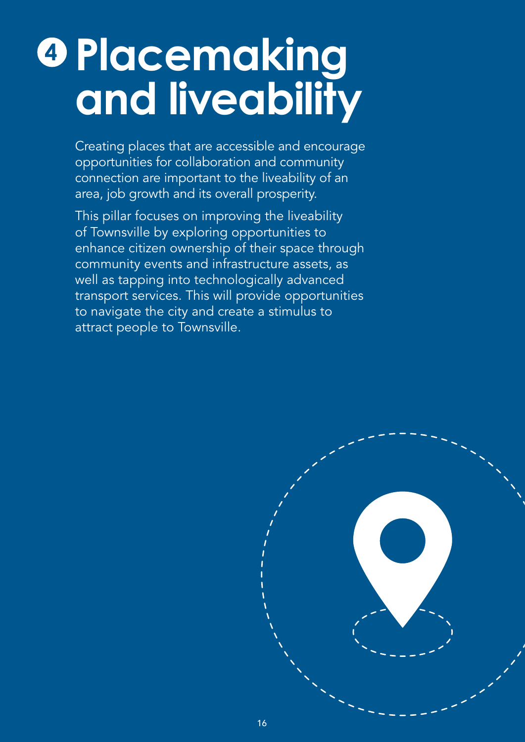### **Placemaking and liveability 4**

Creating places that are accessible and encourage opportunities for collaboration and community connection are important to the liveability of an area, job growth and its overall prosperity.

This pillar focuses on improving the liveability of Townsville by exploring opportunities to enhance citizen ownership of their space through community events and infrastructure assets, as well as tapping into technologically advanced transport services. This will provide opportunities to navigate the city and create a stimulus to attract people to Townsville.

![](_page_17_Figure_3.jpeg)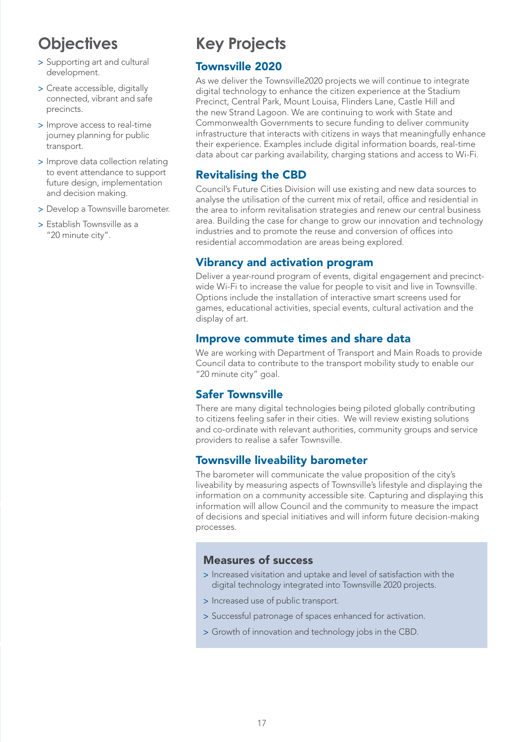- > Supporting art and cultural development.
- > Create accessible, digitally connected, vibrant and safe precincts.
- > Improve access to real-time journey planning for public transport.
- > Improve data collection relating to event attendance to support future design, implementation and decision making.
- > Develop a Townsville barometer.
- > Establish Townsville as a "20 minute city".

#### **Key Projects**

#### Townsville 2020

As we deliver the Townsville2020 projects we will continue to integrate digital technology to enhance the citizen experience at the Stadium Precinct, Central Park, Mount Louisa, Flinders Lane, Castle Hill and the new Strand Lagoon. We are continuing to work with State and Commonwealth Governments to secure funding to deliver community infrastructure that interacts with citizens in ways that meaningfully enhance their experience. Examples include digital information boards, real-time data about car parking availability, charging stations and access to Wi-Fi.

#### Revitalising the CBD

Council's Future Cities Division will use existing and new data sources to analyse the utilisation of the current mix of retail, office and residential in the area to inform revitalisation strategies and renew our central business area. Building the case for change to grow our innovation and technology industries and to promote the reuse and conversion of offices into residential accommodation are areas being explored.

#### Vibrancy and activation program

Deliver a year-round program of events, digital engagement and precinctwide Wi-Fi to increase the value for people to visit and live in Townsville. Options include the installation of interactive smart screens used for games, educational activities, special events, cultural activation and the display of art.

#### Improve commute times and share data

We are working with Department of Transport and Main Roads to provide Council data to contribute to the transport mobility study to enable our "20 minute city" goal.

#### Safer Townsville

There are many digital technologies being piloted globally contributing to citizens feeling safer in their cities. We will review existing solutions and co-ordinate with relevant authorities, community groups and service providers to realise a safer Townsville.

#### Townsville liveability barometer

The barometer will communicate the value proposition of the city's liveability by measuring aspects of Townsville's lifestyle and displaying the information on a community accessible site. Capturing and displaying this information will allow Council and the community to measure the impact of decisions and special initiatives and will inform future decision-making processes.

- > Increased visitation and uptake and level of satisfaction with the digital technology integrated into Townsville 2020 projects.
- > Increased use of public transport.
- > Successful patronage of spaces enhanced for activation.
- > Growth of innovation and technology jobs in the CBD.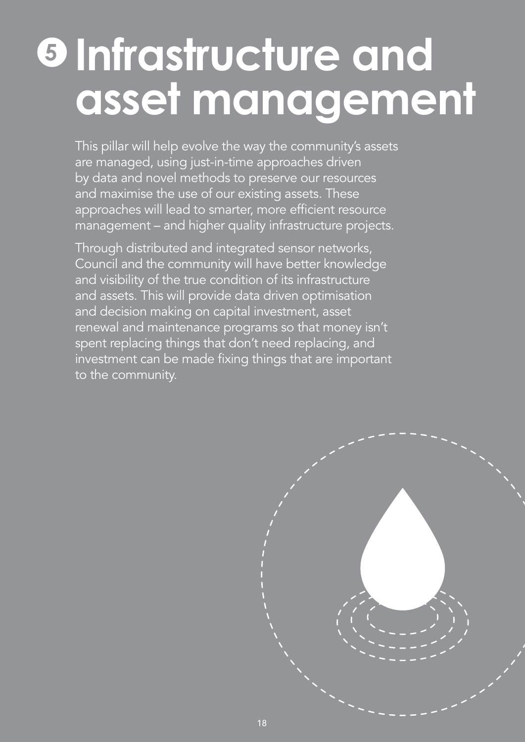### **Infrastructure and asset management 5**

This pillar will help evolve the way the community's assets are managed, using just-in-time approaches driven by data and novel methods to preserve our resources and maximise the use of our existing assets. These approaches will lead to smarter, more efficient resource management – and higher quality infrastructure projects.

Through distributed and integrated sensor networks, Council and the community will have better knowledge and visibility of the true condition of its infrastructure and assets. This will provide data driven optimisation and decision making on capital investment, asset renewal and maintenance programs so that money isn't spent replacing things that don't need replacing, and investment can be made fixing things that are important to the community.

![](_page_19_Figure_3.jpeg)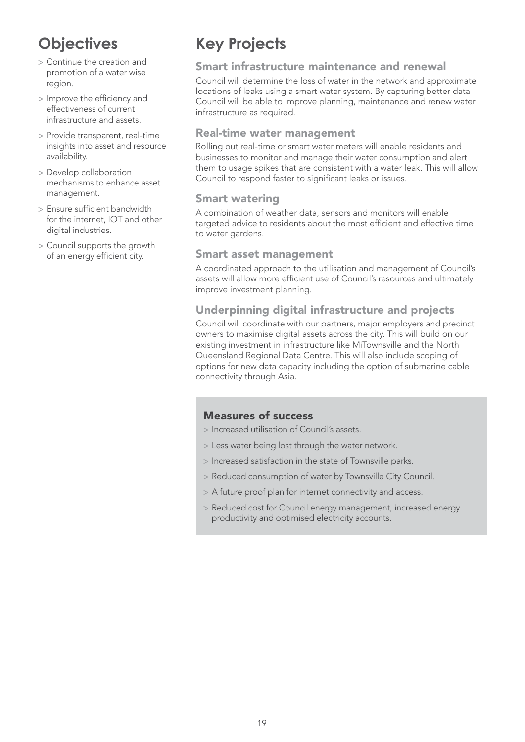- > Continue the creation and promotion of a water wise region.
- > Improve the efficiency and effectiveness of current infrastructure and assets.
- > Provide transparent, real-time insights into asset and resource availability.
- > Develop collaboration mechanisms to enhance asset management.
- > Ensure sufficient bandwidth for the internet, IOT and other digital industries.
- > Council supports the growth of an energy efficient city.

#### **Key Projects**

#### Smart infrastructure maintenance and renewal

Council will determine the loss of water in the network and approximate locations of leaks using a smart water system. By capturing better data Council will be able to improve planning, maintenance and renew water infrastructure as required.

#### Real-time water management

Rolling out real-time or smart water meters will enable residents and businesses to monitor and manage their water consumption and alert them to usage spikes that are consistent with a water leak. This will allow Council to respond faster to significant leaks or issues.

#### Smart watering

A combination of weather data, sensors and monitors will enable targeted advice to residents about the most efficient and effective time to water gardens.

#### Smart asset management

A coordinated approach to the utilisation and management of Council's assets will allow more efficient use of Council's resources and ultimately improve investment planning.

#### Underpinning digital infrastructure and projects

Council will coordinate with our partners, major employers and precinct owners to maximise digital assets across the city. This will build on our existing investment in infrastructure like MiTownsville and the North Queensland Regional Data Centre. This will also include scoping of options for new data capacity including the option of submarine cable connectivity through Asia.

- > Increased utilisation of Council's assets.
- > Less water being lost through the water network.
- > Increased satisfaction in the state of Townsville parks.
- > Reduced consumption of water by Townsville City Council.
- > A future proof plan for internet connectivity and access.
- > Reduced cost for Council energy management, increased energy productivity and optimised electricity accounts.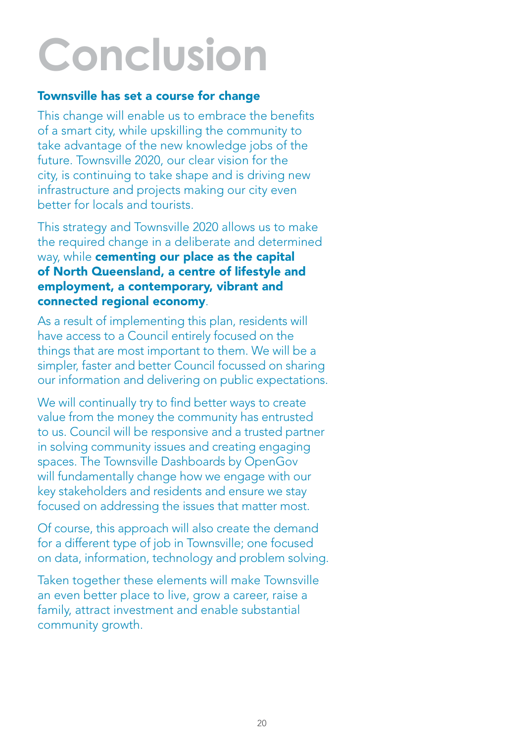# **Conclusion**

#### Townsville has set a course for change

This change will enable us to embrace the benefits of a smart city, while upskilling the community to take advantage of the new knowledge jobs of the future. Townsville 2020, our clear vision for the city, is continuing to take shape and is driving new infrastructure and projects making our city even better for locals and tourists.

This strategy and Townsville 2020 allows us to make the required change in a deliberate and determined way, while cementing our place as the capital of North Queensland, a centre of lifestyle and employment, a contemporary, vibrant and connected regional economy.

As a result of implementing this plan, residents will have access to a Council entirely focused on the things that are most important to them. We will be a simpler, faster and better Council focussed on sharing our information and delivering on public expectations.

We will continually try to find better ways to create value from the money the community has entrusted to us. Council will be responsive and a trusted partner in solving community issues and creating engaging spaces. The Townsville Dashboards by OpenGov will fundamentally change how we engage with our key stakeholders and residents and ensure we stay focused on addressing the issues that matter most.

Of course, this approach will also create the demand for a different type of job in Townsville; one focused on data, information, technology and problem solving.

Taken together these elements will make Townsville an even better place to live, grow a career, raise a family, attract investment and enable substantial community growth.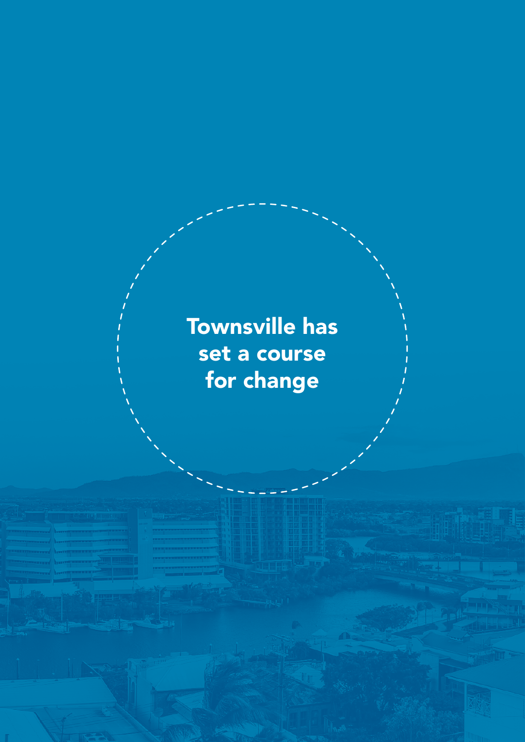Townsville has set a course for change